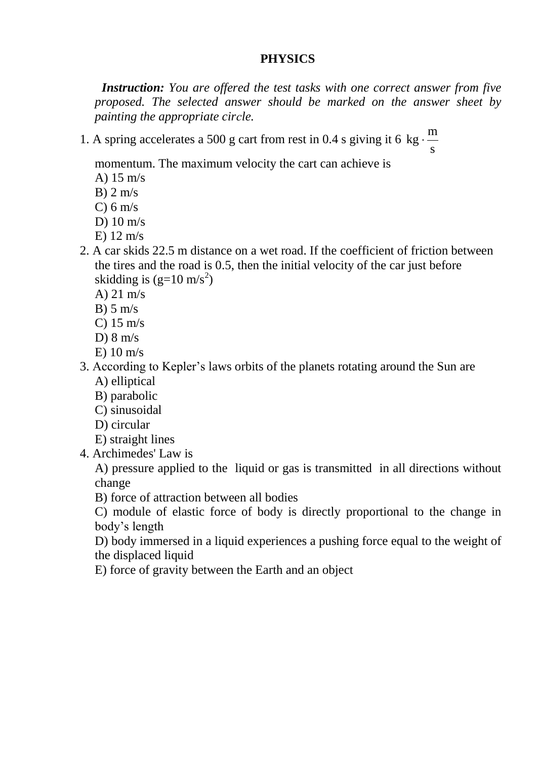## **PHYSICS**

 *Instruction: You are offered the test tasks with one correct answer from five proposed. The selected answer should be marked on the answer sheet by painting the appropriate cirсle.*

1. A spring accelerates a 500 g cart from rest in 0.4 s giving it 6 s m  $kg \cdot$ 

momentum. The maximum velocity the cart can achieve is

- A) 15 m/s
- $B$ ) 2 m/s
- C)  $6 \text{ m/s}$
- D) 10 m/s
- E) 12 m/s
- 2. A car skids 22.5 m distance on a wet road. If the coefficient of friction between the tires and the road is 0.5, then the initial velocity of the car just before skidding is  $(g=10 \text{ m/s}^2)$ 
	- A) 21 m/s
	- $B)$  5 m/s
	- C)  $15 \text{ m/s}$
	- D)  $8 \text{ m/s}$
	- E) 10 m/s
- 3. According to Kepler's laws orbits of the planets rotating around the Sun are A) elliptical
	- B) parabolic
	- C) sinusoidal
	- D) circular
	- E) straight lines
- 4. Archimedes' Law is

A) pressure applied to the liquid or gas is transmitted in all directions without change

B) force of attraction between all bodies

C) module of elastic force of body is directly proportional to the change in body's length

D) body immersed in a liquid experiences a pushing force equal to the weight of the displaced liquid

E) force of gravity between the Earth and an object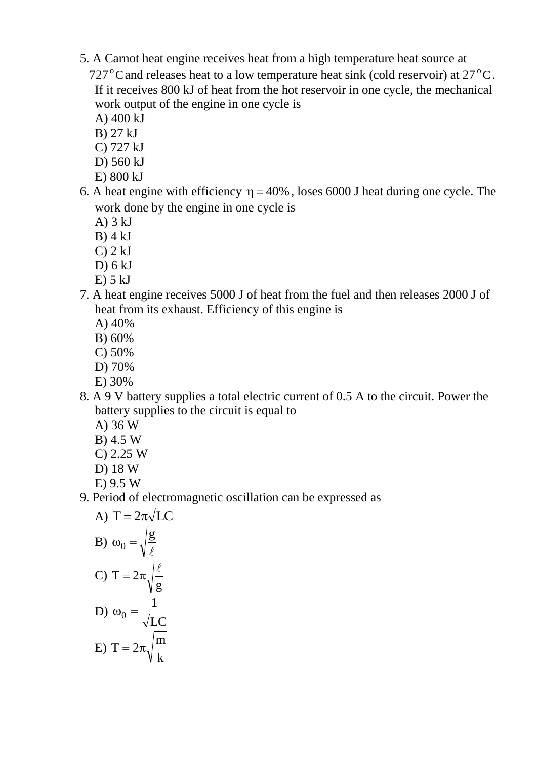5. A Carnot heat engine receives heat from a high temperature heat source at  $727^{\circ}$ C and releases heat to a low temperature heat sink (cold reservoir) at  $27^{\circ}$ C.

If it receives 800 kJ of heat from the hot reservoir in one cycle, the mechanical work output of the engine in one cycle is

- A) 400 kJ
- B) 27 kJ
- C) 727 kJ
- D) 560 kJ
- E) 800 kJ
- 6. A heat engine with efficiency  $\eta = 40\%$ , loses 6000 J heat during one cycle. The work done by the engine in one cycle is
	- A) 3 kJ
	- $B$ ) 4 kJ
	- $C$ ) 2 kJ
	- D) 6 kJ
	- $E$ ) 5 kJ
- 7. A heat engine receives 5000 J of heat from the fuel and then releases 2000 J of heat from its exhaust. Efficiency of this engine is
	- A) 40%
	- B) 60%
	- C) 50%
	- D) 70%
	- E) 30%
- 8. A 9 V battery supplies a total electric current of 0.5 A to the circuit. Power the battery supplies to the circuit is equal to
	- A) 36 W
	- B) 4.5 W
	- C) 2.25 W
	- D) 18 W
	- E) 9.5 W
- 9. Period of electromagnetic oscillation can be expressed as

A) 
$$
T = 2\pi\sqrt{LC}
$$
  
\nB)  $\omega_0 = \sqrt{\frac{g}{\ell}}$   
\nC)  $T = 2\pi\sqrt{\frac{\ell}{g}}$   
\nD)  $\omega_0 = \frac{1}{\sqrt{LC}}$   
\nE)  $T = 2\pi\sqrt{\frac{m}{k}}$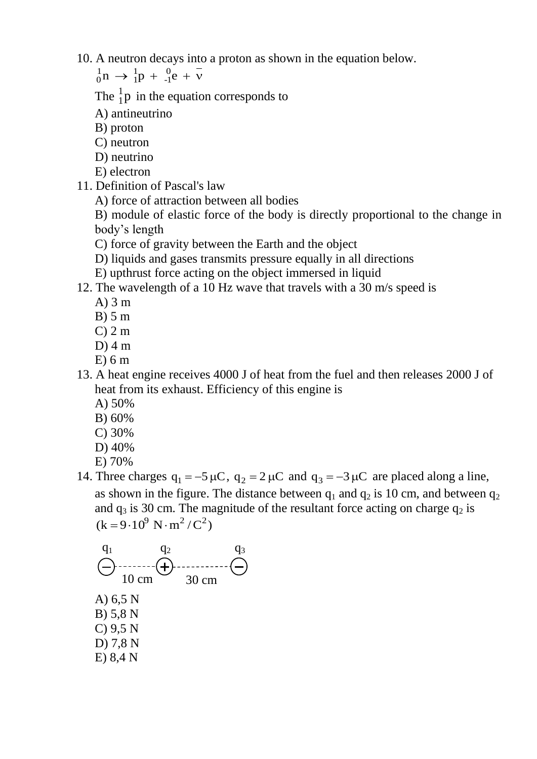10. A neutron decays into a proton as shown in the equation below.

 $n \to \frac{1}{1}p + \frac{0}{1}e$ -1 1 1  ${}_{0}^{1}n \rightarrow {}_{1}^{1}p + {}_{-1}^{0}e + \overline{v}$ 

The  $\frac{1}{1}p$  $\frac{1}{1}$ p in the equation corresponds to

A) antineutrino

B) proton

- C) neutron
- D) neutrino
- E) electron
- 11. Definition of Pascal's law

A) force of attraction between all bodies

B) module of elastic force of the body is directly proportional to the change in body's length

- C) force of gravity between the Earth and the object
- D) liquids and gases transmits pressure equally in all directions
- E) upthrust force acting on the object immersed in liquid
- 12. The wavelength of a 10 Hz wave that travels with a 30 m/s speed is
	- A) 3 m
	- B) 5 m
	- $C$ ) 2 m
	- $D$ ) 4 m
	- $E(6m)$
- 13. A heat engine receives 4000 J of heat from the fuel and then releases 2000 J of heat from its exhaust. Efficiency of this engine is
	- A) 50%
	- B) 60%
	- C) 30%
	- D) 40%
	- E) 70%
- 14. Three charges  $q_1 = -5 \mu C$ ,  $q_2 = 2 \mu C$  and  $q_3 = -3 \mu C$  are placed along a line, as shown in the figure. The distance between  $q_1$  and  $q_2$  is 10 cm, and between  $q_2$ and  $q_3$  is 30 cm. The magnitude of the resultant force acting on charge  $q_2$  is  $(k = 9.10^9 \text{ N} \cdot \text{m}^2/\text{C}^2)$

$$
q_1
$$
\n
$$
q_2
$$
\n
$$
q_3
$$
\n
$$
10 \text{ cm}
$$
\n
$$
q_2
$$
\n
$$
30 \text{ cm}
$$
\nA) 6,5 N  
\nB) 5,8 N  
\nC) 9,5 N  
\nD) 7,8 N  
\nE) 8,4 N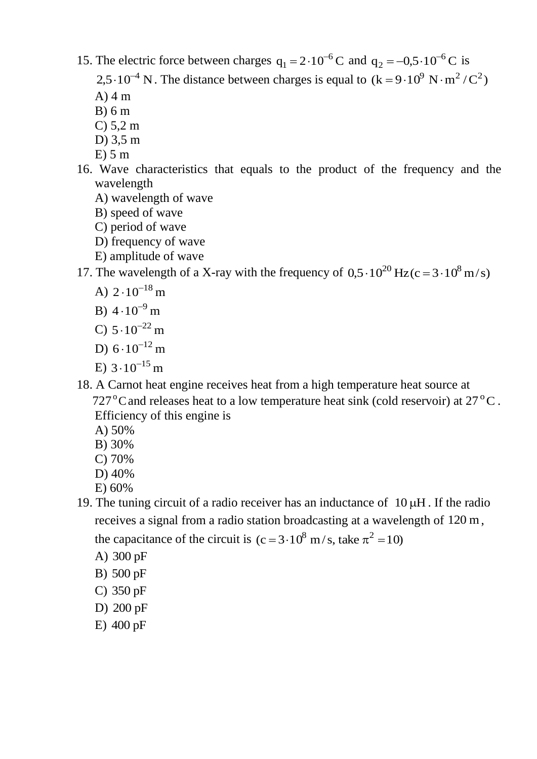15. The electric force between charges  $q_1 = 2 \cdot 10^{-6}$  C 1  $= 2.10^{-6}$  C and  $q_2 = -0.5.10^{-6}$  C 2  $=-0.5 \cdot 10^{-6}$  C is

2,5 $\cdot 10^{-4}$  N. The distance between charges is equal to  $(k = 9 \cdot 10^{9}$  N $\cdot$ m<sup>2</sup>/C<sup>2</sup>)

- $A)$  4 m
- B) 6 m
- C) 5,2 m
- D) 3,5 m
- $E$ ) 5 m
- 16. Wave characteristics that equals to the product of the frequency and the wavelength
	- A) wavelength of wave
	- B) speed of wave
	- C) period of wave
	- D) frequency of wave
	- E) amplitude of wave

17. The wavelength of a X-ray with the frequency of  $0.5 \cdot 10^{20}$  Hz(c =  $3 \cdot 10^8$  m/s)

- A)  $2 \cdot 10^{-18}$  m
- B)  $4 \cdot 10^{-9}$  m
- C)  $5 \cdot 10^{-22}$  m
- D)  $6 \cdot 10^{-12}$  m
- E)  $3 \cdot 10^{-15}$  m
- 18. A Carnot heat engine receives heat from a high temperature heat source at 727 $\mathrm{^{\circ}C}$  and releases heat to a low temperature heat sink (cold reservoir) at 27 $\mathrm{^{\circ}C}$ . Efficiency of this engine is
	- A) 50%
	- B) 30%
	- C) 70%
	- D) 40%
	- E) 60%
- 19. The tuning circuit of a radio receiver has an inductance of  $10 \mu$ H. If the radio receives a signal from a radio station broadcasting at a wavelength of 120 m, the capacitance of the circuit is  $(c=3.10^8 \text{ m/s}, \text{take } \pi^2 = 10)$ 
	- A) 300 pF
	- B) 500 pF
	- C) 350 pF
	- D) 200 pF
	- E) 400 pF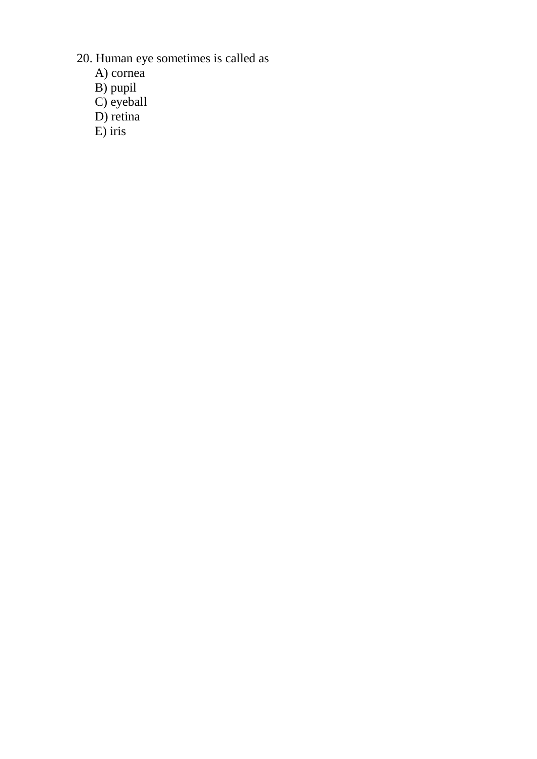- 20. Human eye sometimes is called as
	- A) cornea
	- B) pupil
	- C) eyeball
	- D) retina
	- E) iris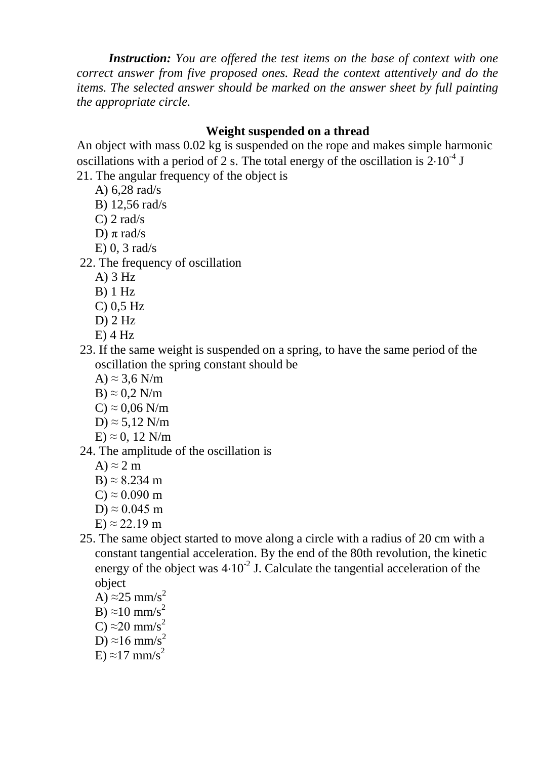*Instruction: You are offered the test items on the base of context with one correct answer from five proposed ones. Read the context attentively and do the items. The selected answer should be marked on the answer sheet by full painting the appropriate circle.*

## **Weight suspended on a thread**

An object with mass 0.02 kg is suspended on the rope and makes simple harmonic oscillations with a period of 2 s. The total energy of the oscillation is  $2.10^{-4}$  J

- 21. The angular frequency of the object is
	- A) 6,28 rad/s
	- B) 12,56 rad/s
	- $C$ ) 2 rad/s
	- D)  $\pi$  rad/s
	- E) 0, 3 rad/s
- 22. The frequency of oscillation
	- A) 3 Hz
	- $B)$  1 Hz
	- C) 0,5 Hz
	- $D$ ) 2 Hz
	- $E)$  4 Hz
- 23. If the same weight is suspended on a spring, to have the same period of the oscillation the spring constant should be
	- A)  $\approx$  3,6 N/m
	- $B \approx 0.2$  N/m
	- $C \approx 0.06$  N/m
	- D)  $\approx$  5,12 N/m

$$
E) \approx 0, 12 \text{ N/m}
$$

- 24. The amplitude of the oscillation is
	- A)  $\approx$  2 m
	- B)  $\approx$  8.234 m
	- $C \approx 0.090$  m
	- D)  $\approx 0.045$  m
	- $E \approx 22.19$  m
- 25. The same object started to move along a circle with a radius of 20 cm with a constant tangential acceleration. By the end of the 80th revolution, the kinetic energy of the object was  $4.10^{-2}$  J. Calculate the tangential acceleration of the object
	- A)  $\approx$  25 mm/s<sup>2</sup> B)  $\approx$ 10 mm/s<sup>2</sup> C)  $\approx$  20 mm/s<sup>2</sup> D)  $\approx$ 16 mm/s<sup>2</sup> E)  $\approx$ 17 mm/s<sup>2</sup>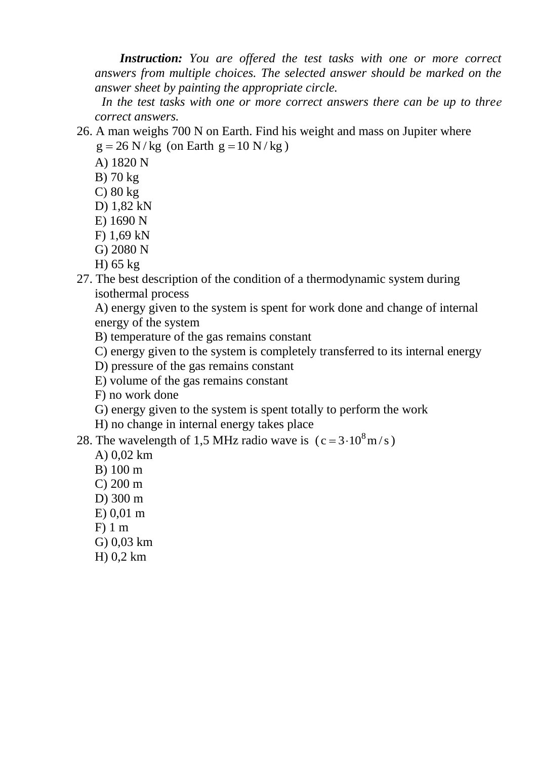*Instruction: You are offered the test tasks with one or more correct answers from multiple choices. The selected answer should be marked on the answer sheet by painting the appropriate circle.*

 *In the test tasks with one or more correct answers there can be up to threе correct answers.*

26. A man weighs 700 N on Earth. Find his weight and mass on Jupiter where  $g = 26$  N/kg (on Earth  $g = 10$  N/kg)

- A) 1820 N
- B) 70 kg
- C) 80 kg
- D) 1,82 kN
- E) 1690 N
- F) 1,69 kN
- G) 2080 N
- H) 65 kg
- 27. The best description of the condition of a thermodynamic system during isothermal process

A) energy given to the system is spent for work done and change of internal energy of the system

- B) temperature of the gas remains constant
- C) energy given to the system is completely transferred to its internal energy
- D) pressure of the gas remains constant
- E) volume of the gas remains constant
- F) no work done
- G) energy given to the system is spent totally to perform the work
- H) no change in internal energy takes place

28. The wavelength of 1,5 MHz radio wave is  $(c=3.10^8 \text{ m/s})$ 

- A) 0,02 km
- B) 100 m
- C) 200 m
- D) 300 m
- E) 0,01 m
- F) 1 m
- G) 0,03 km
- H) 0,2 km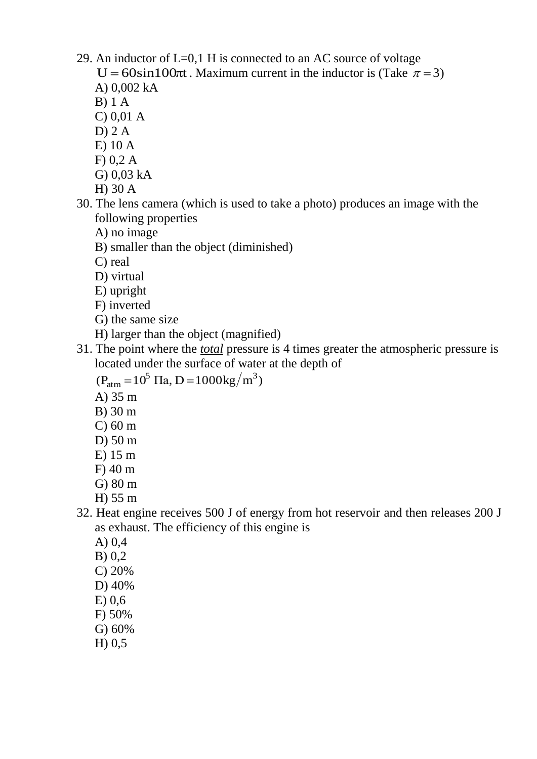- 29. An inductor of  $L=0,1$  H is connected to an AC source of voltage U = 60sin100 $\pi$ t. Maximum current in the inductor is (Take  $\pi$  = 3)
	- A) 0,002 kA
	- B) 1 A
	- C) 0,01 A
	- $D$ ) 2 A
	- E) 10 A
	- F) 0,2 A
	- G) 0,03 kA
	- H) 30 A
- 30. The lens camera (which is used to take a photo) produces an image with the following properties
	- A) no image
	- B) smaller than the object (diminished)
	- C) real
	- D) virtual
	- E) upright
	- F) inverted
	- G) the same size
	- H) larger than the object (magnified)
- 31. The point where the *total* pressure is 4 times greater the atmospheric pressure is located under the surface of water at the depth of

 $(P_{\text{atm}} = 10^5 \text{ Ta}, D = 1000 \text{kg/m}^3)$ 

- A) 35 m
- B) 30 m
- C) 60 m
- D) 50 m
- E) 15 m
- F) 40 m
- G) 80 m
- H) 55 m
- 32. Heat engine receives 500 J of energy from hot reservoir and then releases 200 J as exhaust. The efficiency of this engine is
	- A) 0,4
	- B) 0,2
	- C) 20%
	- D) 40%
	- E) 0,6
	- F) 50%
	- G) 60%
	- H) 0,5